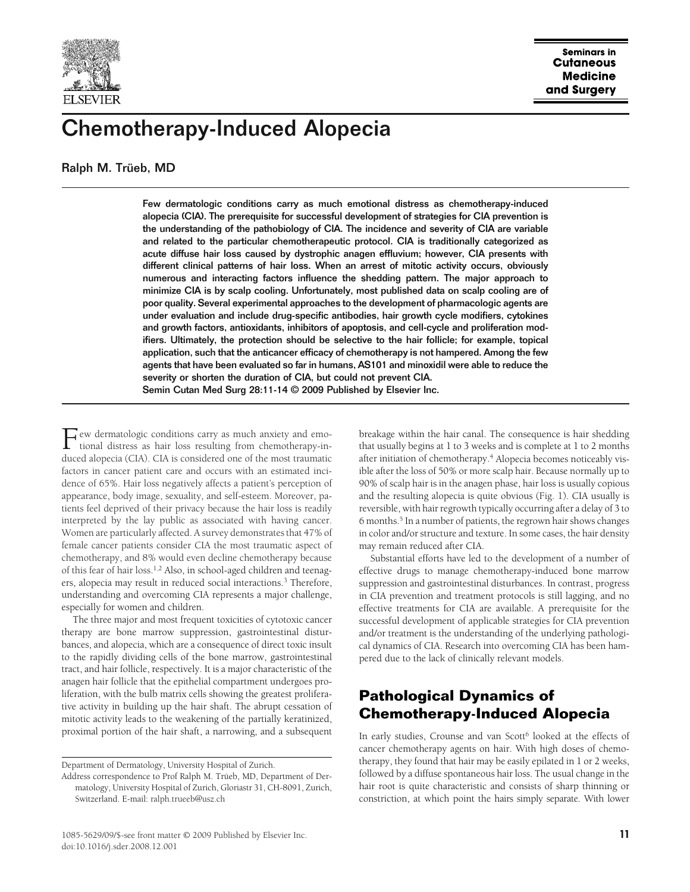

# Chemotherapy-Induced Alopecia

Ralph M. Trüeb, MD

Few dermatologic conditions carry as much emotional distress as chemotherapy-induced alopecia (CIA). The prerequisite for successful development of strategies for CIA prevention is the understanding of the pathobiology of CIA. The incidence and severity of CIA are variable and related to the particular chemotherapeutic protocol. CIA is traditionally categorized as acute diffuse hair loss caused by dystrophic anagen effluvium; however, CIA presents with different clinical patterns of hair loss. When an arrest of mitotic activity occurs, obviously numerous and interacting factors influence the shedding pattern. The major approach to minimize CIA is by scalp cooling. Unfortunately, most published data on scalp cooling are of poor quality. Several experimental approaches to the development of pharmacologic agents are under evaluation and include drug-specific antibodies, hair growth cycle modifiers, cytokines and growth factors, antioxidants, inhibitors of apoptosis, and cell-cycle and proliferation modifiers. Ultimately, the protection should be selective to the hair follicle; for example, topical application, such that the anticancer efficacy of chemotherapy is not hampered. Among the few agents that have been evaluated so far in humans, AS101 and minoxidil were able to reduce the severity or shorten the duration of CIA, but could not prevent CIA. Semin Cutan Med Surg 28:11-14 © 2009 Published by Elsevier Inc.

 $\Gamma$  ew dermatologic conditions carry as much anxiety and emo-<br>tional distress as hair loss resulting from chemotherapy-in-<br>developed (CIA) CIA is considered an a false most transmition tional distress as hair loss resulting from chemotherapy-induced alopecia (CIA). CIA is considered one of the most traumatic factors in cancer patient care and occurs with an estimated incidence of 65%. Hair loss negatively affects a patient's perception of appearance, body image, sexuality, and self-esteem. Moreover, patients feel deprived of their privacy because the hair loss is readily interpreted by the lay public as associated with having cancer. Women are particularly affected. A survey demonstrates that 47% of female cancer patients consider CIA the most traumatic aspect of chemotherapy, and 8% would even decline chemotherapy because of this fear of hair loss.1,2 Also, in school-aged children and teenagers, alopecia may result in reduced social interactions.<sup>3</sup> Therefore, understanding and overcoming CIA represents a major challenge, especially for women and children.

The three major and most frequent toxicities of cytotoxic cancer therapy are bone marrow suppression, gastrointestinal disturbances, and alopecia, which are a consequence of direct toxic insult to the rapidly dividing cells of the bone marrow, gastrointestinal tract, and hair follicle, respectively. It is a major characteristic of the anagen hair follicle that the epithelial compartment undergoes proliferation, with the bulb matrix cells showing the greatest proliferative activity in building up the hair shaft. The abrupt cessation of mitotic activity leads to the weakening of the partially keratinized, proximal portion of the hair shaft, a narrowing, and a subsequent

breakage within the hair canal. The consequence is hair shedding that usually begins at 1 to 3 weeks and is complete at 1 to 2 months after initiation of chemotherapy.<sup>4</sup> Alopecia becomes noticeably visible after the loss of 50% or more scalp hair. Because normally up to 90% of scalp hair is in the anagen phase, hair loss is usually copious and the resulting alopecia is quite obvious (Fig. 1). CIA usually is reversible, with hair regrowth typically occurring after a delay of 3 to 6 months.<sup>5</sup> In a number of patients, the regrown hair shows changes in color and/or structure and texture. In some cases, the hair density may remain reduced after CIA.

Substantial efforts have led to the development of a number of effective drugs to manage chemotherapy-induced bone marrow suppression and gastrointestinal disturbances. In contrast, progress in CIA prevention and treatment protocols is still lagging, and no effective treatments for CIA are available. A prerequisite for the successful development of applicable strategies for CIA prevention and/or treatment is the understanding of the underlying pathological dynamics of CIA. Research into overcoming CIA has been hampered due to the lack of clinically relevant models.

# **Pathological Dynamics of Chemotherapy-Induced Alopecia**

In early studies, Crounse and van Scott<sup>6</sup> looked at the effects of cancer chemotherapy agents on hair. With high doses of chemotherapy, they found that hair may be easily epilated in 1 or 2 weeks, followed by a diffuse spontaneous hair loss. The usual change in the hair root is quite characteristic and consists of sharp thinning or constriction, at which point the hairs simply separate. With lower

Department of Dermatology, University Hospital of Zurich.

Address correspondence to Prof Ralph M. Trüeb, MD, Department of Dermatology, University Hospital of Zurich, Gloriastr 31, CH-8091, Zurich, Switzerland. E-mail: ralph.trueeb@usz.ch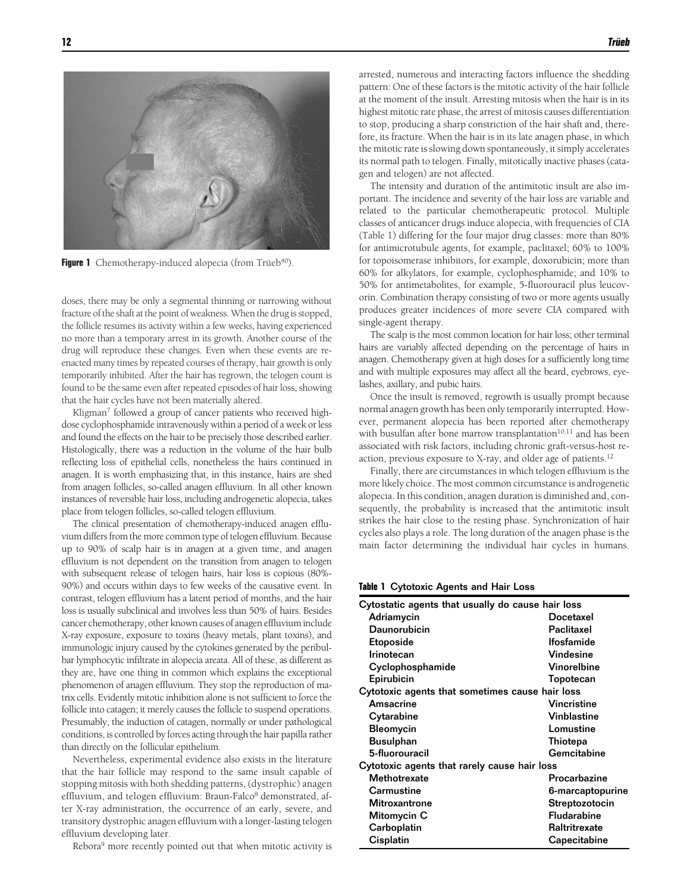

**Figure 1** Chemotherapy-induced alopecia (from Trüeb<sup>40</sup>).

doses, there may be only a segmental thinning or narrowing without fracture of the shaft at the point of weakness. When the drug is stopped, the follicle resumes its activity within a few weeks, having experienced no more than a temporary arrest in its growth. Another course of the drug will reproduce these changes. Even when these events are reenacted many times by repeated courses of therapy, hair growth is only temporarily inhibited. After the hair has regrown, the telogen count is found to be the same even after repeated episodes of hair loss, showing that the hair cycles have not been materially altered.

Kligman<sup>7</sup> followed a group of cancer patients who received highdose cyclophosphamide intravenously within a period of a week or less and found the effects on the hair to be precisely those described earlier. Histologically, there was a reduction in the volume of the hair bulb reflecting loss of epithelial cells, nonetheless the hairs continued in anagen. It is worth emphasizing that, in this instance, hairs are shed from anagen follicles, so-called anagen effluvium. In all other known instances of reversible hair loss, including androgenetic alopecia, takes place from telogen follicles, so-called telogen effluvium.

The clinical presentation of chemotherapy-induced anagen effluvium differs from the more common type of telogen effluvium. Because up to 90% of scalp hair is in anagen at a given time, and anagen effluvium is not dependent on the transition from anagen to telogen with subsequent release of telogen hairs, hair loss is copious (80%- 90%) and occurs within days to few weeks of the causative event. In contrast, telogen effluvium has a latent period of months, and the hair loss is usually subclinical and involves less than 50% of hairs. Besides cancer chemotherapy, other known causes of anagen effluviuminclude X-ray exposure, exposure to toxins (heavy metals, plant toxins), and immunologic injury caused by the cytokines generated by the peribulbar lymphocytic infiltrate in alopecia areata. All of these, as different as they are, have one thing in common which explains the exceptional phenomenon of anagen effluvium. They stop the reproduction of matrix cells. Evidently mitotic inhibition alone is not sufficient to force the follicle into catagen; it merely causes the follicle to suspend operations. Presumably, the induction of catagen, normally or under pathological conditions, is controlled by forces acting through the hair papilla rather than directly on the follicular epithelium.

Nevertheless, experimental evidence also exists in the literature that the hair follicle may respond to the same insult capable of stopping mitosis with both shedding patterns, (dystrophic) anagen effluvium, and telogen effluvium: Braun-Falco<sup>8</sup> demonstrated, after X-ray administration, the occurrence of an early, severe, and transitory dystrophic anagen effluvium with a longer-lasting telogen effluvium developing later.

Rebora<sup>9</sup> more recently pointed out that when mitotic activity is

arrested, numerous and interacting factors influence the shedding pattern: One of these factors is the mitotic activity of the hair follicle at the moment of the insult. Arresting mitosis when the hair is in its highest mitotic rate phase, the arrest of mitosis causes differentiation to stop, producing a sharp constriction of the hair shaft and, therefore, its fracture. When the hair is in its late anagen phase, in which the mitotic rate is slowing down spontaneously, it simply accelerates its normal path to telogen. Finally, mitotically inactive phases (catagen and telogen) are not affected.

The intensity and duration of the antimitotic insult are also important. The incidence and severity of the hair loss are variable and related to the particular chemotherapeutic protocol. Multiple classes of anticancer drugs induce alopecia, with frequencies of CIA (Table 1) differing for the four major drug classes: more than 80% for antimicrotubule agents, for example, paclitaxel; 60% to 100% for topoisomerase inhibitors, for example, doxorubicin; more than 60% for alkylators, for example, cyclophosphamide; and 10% to 50% for antimetabolites, for example, 5-fluorouracil plus leucovorin. Combination therapy consisting of two or more agents usually produces greater incidences of more severe CIA compared with single-agent therapy.

The scalp is the most common location for hair loss; other terminal hairs are variably affected depending on the percentage of hairs in anagen. Chemotherapy given at high doses for a sufficiently long time and with multiple exposures may affect all the beard, eyebrows, eyelashes, axillary, and pubic hairs.

Once the insult is removed, regrowth is usually prompt because normal anagen growth has been only temporarily interrupted. However, permanent alopecia has been reported after chemotherapy with busulfan after bone marrow transplantation $10,11$  and has been associated with risk factors, including chronic graft-versus-host reaction, previous exposure to X-ray, and older age of patients.<sup>12</sup>

Finally, there are circumstances in which telogen effluvium is the more likely choice. The most common circumstance is androgenetic alopecia. In this condition, anagen duration is diminished and, consequently, the probability is increased that the antimitotic insult strikes the hair close to the resting phase. Synchronization of hair cycles also plays a role. The long duration of the anagen phase is the main factor determining the individual hair cycles in humans.

#### **Table 1** Cytotoxic Agents and Hair Loss

| Cytostatic agents that usually do cause hair loss |                   |
|---------------------------------------------------|-------------------|
| Adriamycin                                        | Docetaxel         |
| Daunorubicin                                      | Paclitaxel        |
| Etoposide                                         | <b>Ifosfamide</b> |
| Irinotecan                                        | Vindesine         |
| Cyclophosphamide                                  | Vinorelbine       |
| Epirubicin                                        | Topotecan         |
| Cytotoxic agents that sometimes cause hair loss   |                   |
| Amsacrine                                         | Vincristine       |
| Cytarabine                                        | Vinblastine       |
| <b>Bleomycin</b>                                  | Lomustine         |
| <b>Busulphan</b>                                  | Thiotepa          |
| 5-fluorouracil                                    | Gemcitabine       |
| Cytotoxic agents that rarely cause hair loss      |                   |
| Methotrexate                                      | Procarbazine      |
| Carmustine                                        | 6-marcaptopurine  |
| Mitroxantrone                                     | Streptozotocin    |
| Mitomycin C                                       | Fludarabine       |
| Carboplatin                                       | Raltritrexate     |
| Cisplatin                                         | Capecitabine      |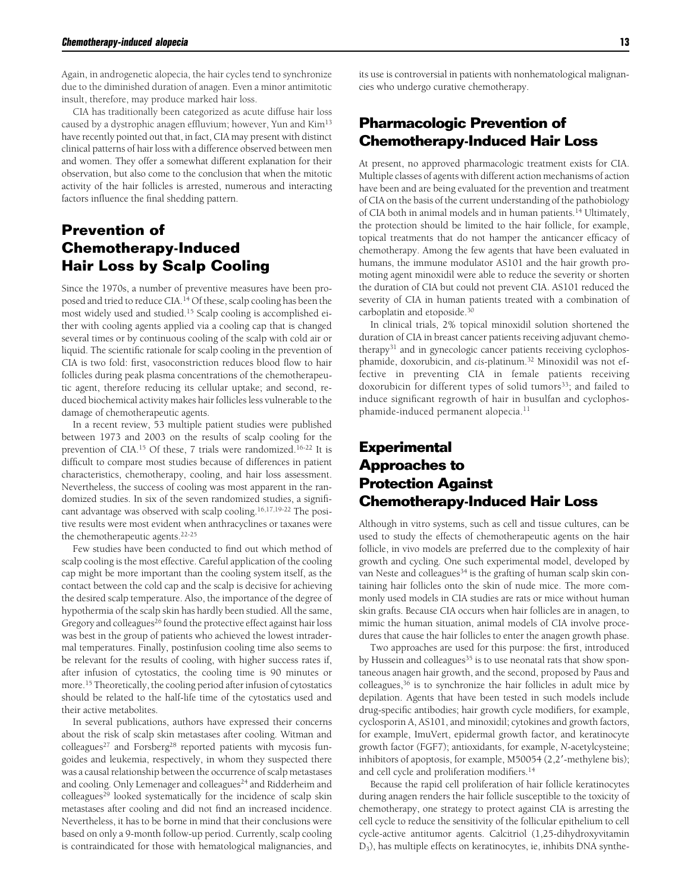Again, in androgenetic alopecia, the hair cycles tend to synchronize due to the diminished duration of anagen. Even a minor antimitotic insult, therefore, may produce marked hair loss.

CIA has traditionally been categorized as acute diffuse hair loss caused by a dystrophic anagen effluvium; however, Yun and Kim<sup>13</sup> have recently pointed out that, in fact, CIA may present with distinct clinical patterns of hair loss with a difference observed between men and women. They offer a somewhat different explanation for their observation, but also come to the conclusion that when the mitotic activity of the hair follicles is arrested, numerous and interacting factors influence the final shedding pattern.

# **Prevention of Chemotherapy-Induced Hair Loss by Scalp Cooling**

Since the 1970s, a number of preventive measures have been proposed and tried to reduce CIA.<sup>14</sup> Of these, scalp cooling has been the most widely used and studied.<sup>15</sup> Scalp cooling is accomplished either with cooling agents applied via a cooling cap that is changed several times or by continuous cooling of the scalp with cold air or liquid. The scientific rationale for scalp cooling in the prevention of CIA is two fold: first, vasoconstriction reduces blood flow to hair follicles during peak plasma concentrations of the chemotherapeutic agent, therefore reducing its cellular uptake; and second, reduced biochemical activity makes hair follicles less vulnerable to the damage of chemotherapeutic agents.

In a recent review, 53 multiple patient studies were published between 1973 and 2003 on the results of scalp cooling for the prevention of CIA.<sup>15</sup> Of these, 7 trials were randomized.16-22 It is difficult to compare most studies because of differences in patient characteristics, chemotherapy, cooling, and hair loss assessment. Nevertheless, the success of cooling was most apparent in the randomized studies. In six of the seven randomized studies, a significant advantage was observed with scalp cooling.16,17,19-22 The positive results were most evident when anthracyclines or taxanes were the chemotherapeutic agents.22-25

Few studies have been conducted to find out which method of scalp cooling is the most effective. Careful application of the cooling cap might be more important than the cooling system itself, as the contact between the cold cap and the scalp is decisive for achieving the desired scalp temperature. Also, the importance of the degree of hypothermia of the scalp skin has hardly been studied. All the same, Gregory and colleagues<sup>26</sup> found the protective effect against hair loss was best in the group of patients who achieved the lowest intradermal temperatures. Finally, postinfusion cooling time also seems to be relevant for the results of cooling, with higher success rates if, after infusion of cytostatics, the cooling time is 90 minutes or more.<sup>15</sup> Theoretically, the cooling period after infusion of cytostatics should be related to the half-life time of the cytostatics used and their active metabolites.

In several publications, authors have expressed their concerns about the risk of scalp skin metastases after cooling. Witman and colleagues<sup>27</sup> and Forsberg<sup>28</sup> reported patients with mycosis fungoides and leukemia, respectively, in whom they suspected there was a causal relationship between the occurrence of scalp metastases and cooling. Only Lemenager and colleagues<sup>24</sup> and Ridderheim and  $\text{colle}$  colleagues<sup>29</sup> looked systematically for the incidence of scalp skin metastases after cooling and did not find an increased incidence. Nevertheless, it has to be borne in mind that their conclusions were based on only a 9-month follow-up period. Currently, scalp cooling is contraindicated for those with hematological malignancies, and

its use is controversial in patients with nonhematological malignancies who undergo curative chemotherapy.

## **Pharmacologic Prevention of Chemotherapy-Induced Hair Loss**

At present, no approved pharmacologic treatment exists for CIA. Multiple classes of agents with different action mechanisms of action have been and are being evaluated for the prevention and treatment of CIA on the basis of the current understanding of the pathobiology of CIA both in animal models and in human patients.<sup>14</sup> Ultimately, the protection should be limited to the hair follicle, for example, topical treatments that do not hamper the anticancer efficacy of chemotherapy. Among the few agents that have been evaluated in humans, the immune modulator AS101 and the hair growth promoting agent minoxidil were able to reduce the severity or shorten the duration of CIA but could not prevent CIA. AS101 reduced the severity of CIA in human patients treated with a combination of carboplatin and etoposide.<sup>30</sup>

In clinical trials, 2% topical minoxidil solution shortened the duration of CIA in breast cancer patients receiving adjuvant chemotherapy<sup>31</sup> and in gynecologic cancer patients receiving cyclophosphamide, doxorubicin, and *cis-*platinum.<sup>32</sup> Minoxidil was not effective in preventing CIA in female patients receiving doxorubicin for different types of solid tumors<sup>33</sup>; and failed to induce significant regrowth of hair in busulfan and cyclophosphamide-induced permanent alopecia.<sup>11</sup>

## **Experimental Approaches to Protection Against Chemotherapy-Induced Hair Loss**

Although in vitro systems, such as cell and tissue cultures, can be used to study the effects of chemotherapeutic agents on the hair follicle, in vivo models are preferred due to the complexity of hair growth and cycling. One such experimental model, developed by van Neste and colleagues<sup>34</sup> is the grafting of human scalp skin containing hair follicles onto the skin of nude mice. The more commonly used models in CIA studies are rats or mice without human skin grafts. Because CIA occurs when hair follicles are in anagen, to mimic the human situation, animal models of CIA involve procedures that cause the hair follicles to enter the anagen growth phase.

Two approaches are used for this purpose: the first, introduced by Hussein and colleagues<sup>35</sup> is to use neonatal rats that show spontaneous anagen hair growth, and the second, proposed by Paus and colleagues,<sup>36</sup> is to synchronize the hair follicles in adult mice by depilation. Agents that have been tested in such models include drug-specific antibodies; hair growth cycle modifiers, for example, cyclosporin A, AS101, and minoxidil; cytokines and growth factors, for example, ImuVert, epidermal growth factor, and keratinocyte growth factor (FGF7); antioxidants, for example, *N*-acetylcysteine; inhibitors of apoptosis, for example, M50054 (2,2'-methylene bis); and cell cycle and proliferation modifiers.<sup>14</sup>

Because the rapid cell proliferation of hair follicle keratinocytes during anagen renders the hair follicle susceptible to the toxicity of chemotherapy, one strategy to protect against CIA is arresting the cell cycle to reduce the sensitivity of the follicular epithelium to cell cycle-active antitumor agents. Calcitriol (1,25-dihydroxyvitamin D3), has multiple effects on keratinocytes, ie, inhibits DNA synthe